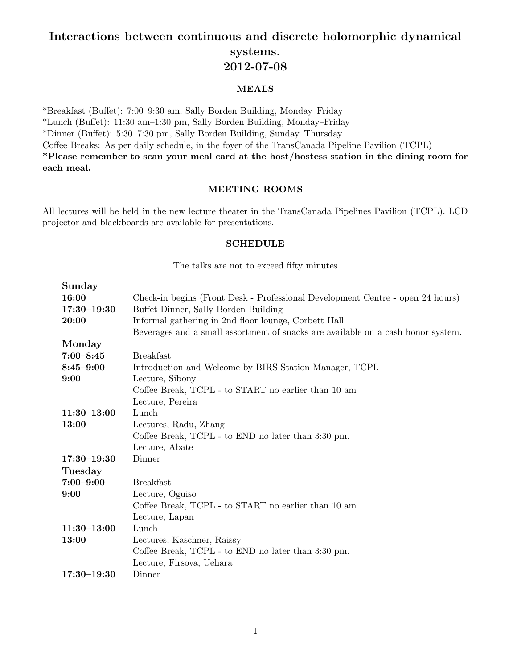# Interactions between continuous and discrete holomorphic dynamical systems. 2012-07-08

# MEALS

\*Breakfast (Buffet): 7:00-9:30 am, Sally Borden Building, Monday-Friday  $*Lunch$  (Buffet): 11:30 am–1:30 pm, Sally Borden Building, Monday–Friday \*Dinner (Bu↵et): 5:30–7:30 pm, Sally Borden Building, Sunday–Thursday Coffee Breaks: As per daily schedule, in the foyer of the TransCanada Pipeline Pavilion (TCPL) \*Please remember to scan your meal card at the host/hostess station in the dining room for each meal.

# MEETING ROOMS

All lectures will be held in the new lecture theater in the TransCanada Pipelines Pavilion (TCPL). LCD projector and blackboards are available for presentations.

## SCHEDULE

The talks are not to exceed fifty minutes

| Sunday          |                                                                                  |
|-----------------|----------------------------------------------------------------------------------|
| 16:00           | Check-in begins (Front Desk - Professional Development Centre - open 24 hours)   |
| $17:30 - 19:30$ | Buffet Dinner, Sally Borden Building                                             |
| 20:00           | Informal gathering in 2nd floor lounge, Corbett Hall                             |
|                 | Beverages and a small assortment of snacks are available on a cash honor system. |
| Monday          |                                                                                  |
| $7:00 - 8:45$   | <b>Breakfast</b>                                                                 |
| $8:45 - 9:00$   | Introduction and Welcome by BIRS Station Manager, TCPL                           |
| 9:00            | Lecture, Sibony                                                                  |
|                 | Coffee Break, TCPL - to START no earlier than 10 am                              |
|                 | Lecture, Pereira                                                                 |
| $11:30 - 13:00$ | Lunch                                                                            |
| 13:00           | Lectures, Radu, Zhang                                                            |
|                 | Coffee Break, TCPL - to END no later than 3:30 pm.                               |
|                 | Lecture, Abate                                                                   |
| $17:30 - 19:30$ | Dinner                                                                           |
| <b>Tuesday</b>  |                                                                                  |
| $7:00 - 9:00$   | <b>Breakfast</b>                                                                 |
| 9:00            | Lecture, Oguiso                                                                  |
|                 | Coffee Break, TCPL - to START no earlier than 10 am                              |
|                 | Lecture, Lapan                                                                   |
| $11:30 - 13:00$ | Lunch                                                                            |
| 13:00           | Lectures, Kaschner, Raissy                                                       |
|                 | Coffee Break, TCPL - to END no later than 3:30 pm.                               |
|                 | Lecture, Firsova, Uehara                                                         |
| $17:30 - 19:30$ | Dinner                                                                           |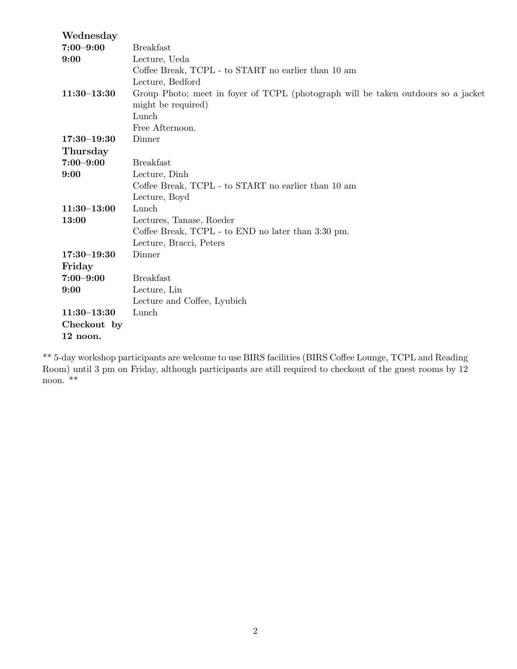| Wednesday       |                                                                                   |
|-----------------|-----------------------------------------------------------------------------------|
| $7:00 - 9:00$   | <b>Breakfast</b>                                                                  |
| 9:00            | Lecture, Ueda                                                                     |
|                 | Coffee Break, TCPL - to START no earlier than 10 am                               |
|                 | Lecture, Bedford                                                                  |
| $11:30 - 13:30$ | Group Photo; meet in foyer of TCPL (photograph will be taken outdoors so a jacket |
|                 | might be required)                                                                |
|                 | Lunch                                                                             |
|                 | Free Afternoon.                                                                   |
| $17:30 - 19:30$ | Dinner                                                                            |
| Thursday        |                                                                                   |
| $7:00 - 9:00$   | <b>Breakfast</b>                                                                  |
| 9:00            | Lecture, Dinh                                                                     |
|                 | Coffee Break, TCPL - to START no earlier than 10 am                               |
|                 | Lecture, Boyd                                                                     |
| $11:30 - 13:00$ | Lunch                                                                             |
| 13:00           | Lectures, Tanase, Roeder                                                          |
|                 | Coffee Break, TCPL - to END no later than 3:30 pm.                                |
|                 | Lecture, Bracci, Peters                                                           |
| $17:30 - 19:30$ | Dinner                                                                            |
| Friday          |                                                                                   |
| $7:00 - 9:00$   | <b>Breakfast</b>                                                                  |
| 9:00            | Lecture, Lin                                                                      |
|                 | Lecture and Coffee, Lyubich                                                       |
| $11:30 - 13:30$ | Lunch                                                                             |
| Checkout by     |                                                                                   |
| 12 noon.        |                                                                                   |

\*\* 5-day workshop participants are welcome to use BIRS facilities (BIRS Coffee Lounge, TCPL and Reading Room) until 3 pm on Friday, although participants are still required to checkout of the guest rooms by 12 noon. \*\*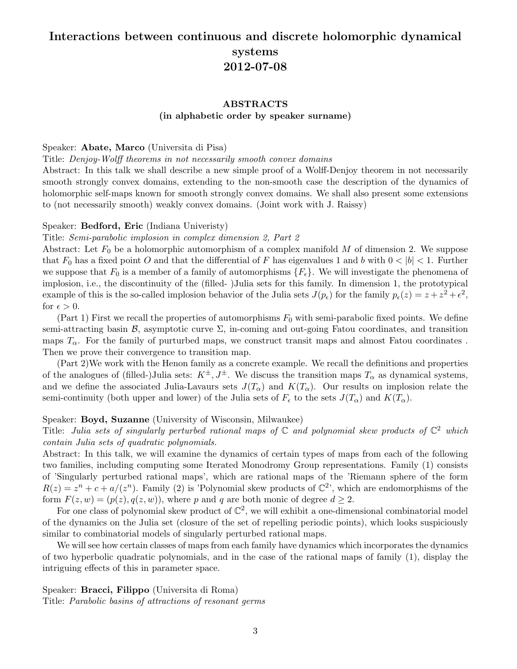# Interactions between continuous and discrete holomorphic dynamical systems 2012-07-08

# ABSTRACTS (in alphabetic order by speaker surname)

## Speaker: Abate, Marco (Universita di Pisa)

#### Title: *Denjoy-Wolff theorems in not necessarily smooth convex domains*

Abstract: In this talk we shall describe a new simple proof of a Wolff-Denjoy theorem in not necessarily smooth strongly convex domains, extending to the non-smooth case the description of the dynamics of holomorphic self-maps known for smooth strongly convex domains. We shall also present some extensions to (not necessarily smooth) weakly convex domains. (Joint work with J. Raissy)

## Speaker: Bedford, Eric (Indiana Univeristy)

#### Title: *Semi-parabolic implosion in complex dimension 2, Part 2*

Abstract: Let  $F_0$  be a holomorphic automorphism of a complex manifold  $M$  of dimension 2. We suppose that  $F_0$  has a fixed point *O* and that the differential of *F* has eigenvalues 1 and *b* with  $0 < |b| < 1$ . Further we suppose that  $F_0$  is a member of a family of automorphisms  $\{F_{\epsilon}\}\$ . We will investigate the phenomena of implosion, i.e., the discontinuity of the (filled- )Julia sets for this family. In dimension 1, the prototypical example of this is the so-called implosion behavior of the Julia sets  $J(p_\epsilon)$  for the family  $p_\epsilon(z) = z + z^2 + \epsilon^2$ , for  $\epsilon > 0$ .

(Part 1) First we recall the properties of automorphisms *F*<sup>0</sup> with semi-parabolic fixed points. We define semi-attracting basin  $\mathcal{B}$ , asymptotic curve  $\Sigma$ , in-coming and out-going Fatou coordinates, and transition maps  $T_\alpha$ . For the family of purturbed maps, we construct transit maps and almost Fatou coordinates. Then we prove their convergence to transition map.

(Part 2)We work with the Henon family as a concrete example. We recall the definitions and properties of the analogues of (filled-)Julia sets:  $K^{\pm}$ ,  $J^{\pm}$ . We discuss the transition maps  $T_{\alpha}$  as dynamical systems, and we define the associated Julia-Lavaurs sets  $J(T_\alpha)$  and  $K(T_\alpha)$ . Our results on implosion relate the semi-continuity (both upper and lower) of the Julia sets of  $F_{\epsilon}$  to the sets  $J(T_{\alpha})$  and  $K(T_{\alpha})$ .

## Speaker: Boyd, Suzanne (University of Wisconsin, Milwaukee)

Title: *Julia sets of singularly perturbed rational maps of* C *and polynomial skew products of* C<sup>2</sup> *which contain Julia sets of quadratic polynomials.*

Abstract: In this talk, we will examine the dynamics of certain types of maps from each of the following two families, including computing some Iterated Monodromy Group representations. Family (1) consists of 'Singularly perturbed rational maps', which are rational maps of the 'Riemann sphere of the form  $R(z) = z^n + c + a/(z^n)$ . Family (2) is 'Polynomial skew products of  $\mathbb{C}^2$ ', which are endomorphisms of the form  $F(z, w) = (p(z), q(z, w))$ , where *p* and *q* are both monic of degree  $d > 2$ .

For one class of polynomial skew product of  $\mathbb{C}^2$ , we will exhibit a one-dimensional combinatorial model of the dynamics on the Julia set (closure of the set of repelling periodic points), which looks suspiciously similar to combinatorial models of singularly perturbed rational maps.

We will see how certain classes of maps from each family have dynamics which incorporates the dynamics of two hyperbolic quadratic polynomials, and in the case of the rational maps of family (1), display the intriguing effects of this in parameter space.

# Speaker: Bracci, Filippo (Universita di Roma)

Title: *Parabolic basins of attractions of resonant germs*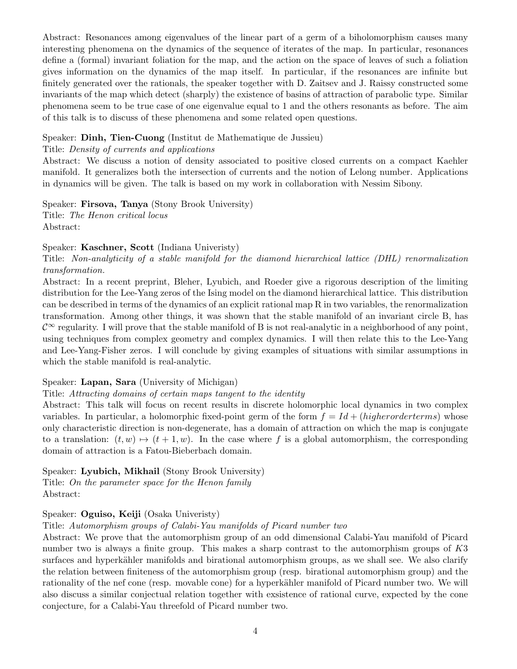Abstract: Resonances among eigenvalues of the linear part of a germ of a biholomorphism causes many interesting phenomena on the dynamics of the sequence of iterates of the map. In particular, resonances define a (formal) invariant foliation for the map, and the action on the space of leaves of such a foliation gives information on the dynamics of the map itself. In particular, if the resonances are infinite but finitely generated over the rationals, the speaker together with D. Zaitsev and J. Raissy constructed some invariants of the map which detect (sharply) the existence of basins of attraction of parabolic type. Similar phenomena seem to be true case of one eigenvalue equal to 1 and the others resonants as before. The aim of this talk is to discuss of these phenomena and some related open questions.

# Speaker: Dinh, Tien-Cuong (Institut de Mathematique de Jussieu)

## Title: *Density of currents and applications*

Abstract: We discuss a notion of density associated to positive closed currents on a compact Kaehler manifold. It generalizes both the intersection of currents and the notion of Lelong number. Applications in dynamics will be given. The talk is based on my work in collaboration with Nessim Sibony.

Speaker: Firsova, Tanya (Stony Brook University) Title: *The Henon critical locus* Abstract:

## Speaker: Kaschner, Scott (Indiana Univeristy)

Title: *Non-analyticity of a stable manifold for the diamond hierarchical lattice (DHL) renormalization transformation.*

Abstract: In a recent preprint, Bleher, Lyubich, and Roeder give a rigorous description of the limiting distribution for the Lee-Yang zeros of the Ising model on the diamond hierarchical lattice. This distribution can be described in terms of the dynamics of an explicit rational map R in two variables, the renormalization transformation. Among other things, it was shown that the stable manifold of an invariant circle B, has  $\mathcal{C}^{\infty}$  regularity. I will prove that the stable manifold of B is not real-analytic in a neighborhood of any point, using techniques from complex geometry and complex dynamics. I will then relate this to the Lee-Yang and Lee-Yang-Fisher zeros. I will conclude by giving examples of situations with similar assumptions in which the stable manifold is real-analytic.

# Speaker: Lapan, Sara (University of Michigan)

## Title: *Attracting domains of certain maps tangent to the identity*

Abstract: This talk will focus on recent results in discrete holomorphic local dynamics in two complex variables. In particular, a holomorphic fixed-point germ of the form  $f = Id + (higher order terms)$  whose only characteristic direction is non-degenerate, has a domain of attraction on which the map is conjugate to a translation:  $(t, w) \mapsto (t + 1, w)$ . In the case where f is a global automorphism, the corresponding domain of attraction is a Fatou-Bieberbach domain.

## Speaker: Lyubich, Mikhail (Stony Brook University)

Title: *On the parameter space for the Henon family* Abstract:

# Speaker: Oguiso, Keiji (Osaka Univeristy)

# Title: *Automorphism groups of Calabi-Yau manifolds of Picard number two*

Abstract: We prove that the automorphism group of an odd dimensional Calabi-Yau manifold of Picard number two is always a finite group. This makes a sharp contrast to the automorphism groups of *K*3 surfaces and hyperkähler manifolds and birational automorphism groups, as we shall see. We also clarify the relation between finiteness of the automorphism group (resp. birational automorphism group) and the rationality of the nef cone (resp. movable cone) for a hyperkähler manifold of Picard number two. We will also discuss a similar conjectual relation together with exsistence of rational curve, expected by the cone conjecture, for a Calabi-Yau threefold of Picard number two.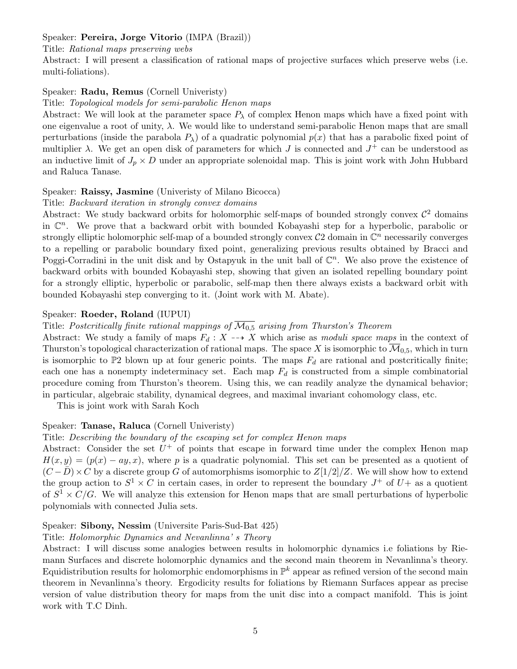# Speaker: Pereira, Jorge Vitorio (IMPA (Brazil))

#### Title: *Rational maps preserving webs*

Abstract: I will present a classification of rational maps of projective surfaces which preserve webs (i.e. multi-foliations).

## Speaker: Radu, Remus (Cornell Univeristy)

Title: *Topological models for semi-parabolic Henon maps*

Abstract: We will look at the parameter space  $P_{\lambda}$  of complex Henon maps which have a fixed point with one eigenvalue a root of unity,  $\lambda$ . We would like to understand semi-parabolic Henon maps that are small perturbations (inside the parabola  $P_{\lambda}$ ) of a quadratic polynomial  $p(x)$  that has a parabolic fixed point of multiplier  $\lambda$ . We get an open disk of parameters for which *J* is connected and  $J^+$  can be understood as an inductive limit of  $J_p \times D$  under an appropriate solenoidal map. This is joint work with John Hubbard and Raluca Tanase.

## Speaker: Raissy, Jasmine (Univeristy of Milano Bicocca)

## Title: *Backward iteration in strongly convex domains*

Abstract: We study backward orbits for holomorphic self-maps of bounded strongly convex  $\mathcal{C}^2$  domains in C*n*. We prove that a backward orbit with bounded Kobayashi step for a hyperbolic, parabolic or strongly elliptic holomorphic self-map of a bounded strongly convex  $\mathcal{C}2$  domain in  $\mathbb{C}^n$  necessarily converges to a repelling or parabolic boundary fixed point, generalizing previous results obtained by Bracci and Poggi-Corradini in the unit disk and by Ostapyuk in the unit ball of C*n*. We also prove the existence of backward orbits with bounded Kobayashi step, showing that given an isolated repelling boundary point for a strongly elliptic, hyperbolic or parabolic, self-map then there always exists a backward orbit with bounded Kobayashi step converging to it. (Joint work with M. Abate).

## Speaker: Roeder, Roland (IUPUI)

# Title: *Postcritically finite rational mappings of*  $\overline{M_{0.5}}$  *arising from Thurston's Theorem*

Abstract: We study a family of maps  $F_d: X \dashrightarrow X$  which arise as *moduli space maps* in the context of Thurston's topological characterization of rational maps. The space X is isomorphic to  $\overline{\mathcal{M}}_{0.5}$ , which in turn is isomorphic to  $\mathbb{P}2$  blown up at four generic points. The maps  $F_d$  are rational and postcritically finite; each one has a nonempty indeterminacy set. Each map  $F_d$  is constructed from a simple combinatorial procedure coming from Thurston's theorem. Using this, we can readily analyze the dynamical behavior; in particular, algebraic stability, dynamical degrees, and maximal invariant cohomology class, etc.

This is joint work with Sarah Koch

## Speaker: Tanase, Raluca (Cornell Univeristy)

## Title: *Describing the boundary of the escaping set for complex Henon maps*

Abstract: Consider the set  $U^+$  of points that escape in forward time under the complex Henon map  $H(x, y) = (p(x) - ay, x)$ , where *p* is a quadratic polynomial. This set can be presented as a quotient of  $(C-\overline{D})\times C$  by a discrete group *G* of automorphisms isomorphic to  $Z(1/2)/Z$ . We will show how to extend the group action to  $S^1 \times C$  in certain cases, in order to represent the boundary  $J^+$  of  $U^+$  as a quotient of  $S^1 \times C/G$ . We will analyze this extension for Henon maps that are small perturbations of hyperbolic polynomials with connected Julia sets.

#### Speaker: Sibony, Nessim (Universite Paris-Sud-Bat 425)

#### Title: *Holomorphic Dynamics and Nevanlinna' s Theory*

Abstract: I will discuss some analogies between results in holomorphic dynamics i.e foliations by Riemann Surfaces and discrete holomorphic dynamics and the second main theorem in Nevanlinna's theory. Equidistribution results for holomorphic endomorphisms in  $\mathbb{P}^k$  appear as refined version of the second main theorem in Nevanlinna's theory. Ergodicity results for foliations by Riemann Surfaces appear as precise version of value distribution theory for maps from the unit disc into a compact manifold. This is joint work with T.C Dinh.